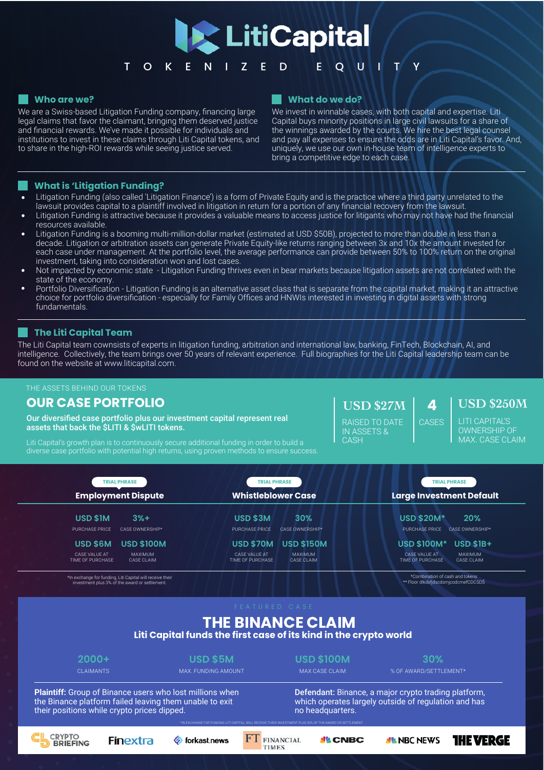

#### **Who are we?**

We are a Swiss-based Litigation Funding company, financing large legal claims that favor the claimant, bringing them deserved justice and financial rewards. We've made it possible for individuals and institutions to invest in these claims through Liti Capital tokens, and to share in the high-ROI rewards while seeing justice served.

#### **What do we do?**

We invest in winnable cases, with both capital and expertise. Liti Capital buys minority positions in large civil lawsuits for a share of the winnings awarded by the courts. We hire the best legal counsel and pay all expenses to ensure the odds are in Liti Capital's favor. And, uniquely, we use our own in-house team of intelligence experts to bring a competitive edge to each case.

#### **What is 'Litigation Funding?**

- Litigation Funding (also called 'Litigation Finance') is a form of Private Equity and is the practice where a third party unrelated to the lawsuit provides capital to a plaintiff involved in litigation in return for a portion of any financial recovery from the lawsuit.
- Litigation Funding is attractive because it provides a valuable means to access justice for litigants who may not have had the financial resources available.
- Litigation Funding is a booming multi-million-dollar market (estimated at USD \$50B), projected to more than double in less than a decade. Litigation or arbitration assets can generate Private Equity-like returns ranging between 3x and 10x the amount invested for each case under management. At the portfolio level, the average performance can provide between 50% to 100% return on the original investment, taking into consideration won and lost cases.
- Not impacted by economic state Litigation Funding thrives even in bear markets because litigation assets are not correlated with the state of the economy.
- Portfolio Diversification Litigation Funding is an alternative asset class that is separate from the capital market, making it an attractive choice for portfolio diversification - especially for Family Offices and HNWIs interested in investing in digital assets with strong fundamentals.

### **The Liti Capital Team**

The Liti Capital team cownsists of experts in litigation funding, arbitration and international law, banking, FinTech, Blockchain, AI, and intelligence. Collectively, the team brings over 50 years of relevant experience. Full biographies for the Liti Capital leadership team can be found on the website at www.liticapital.com.

#### THE ASSETS BEHIND OUR TOKENS

# **OUR CASE PORTFOLIO**

Our diversified case portfolio plus our investment capital represent real assets that back the \$LITI & \$wLITI tokens.

Liti Capital's growth plan is to continuously secure additional funding in order to build a diverse case portfolio with potential high returns, using proven methods to ensure success. **USD \$27M**

RAISED TO DATE IN ASSETS & **CASH** 

# **4 USD \$250M**

LITI CAPITAL'S OWNERSHIP OF MAX. CASE CLAIM

| <b>TRIAL PHRASE</b><br><b>Employment Dispute</b>          |                   | <b>TRIAL PHRASE</b><br><b>Whistleblower Case</b> | <b>TRIAL PHRASE</b><br><b>Large Investment Default</b> |
|-----------------------------------------------------------|-------------------|--------------------------------------------------|--------------------------------------------------------|
|                                                           |                   |                                                  |                                                        |
|                                                           | $3%+$             | 30%                                              | 20%                                                    |
|                                                           | PURCHASE PRICE    | <b>PURCHASE PRICE</b>                            | <b>PURCHASE PRICE</b>                                  |
|                                                           | CASE OWNERSHIP*   | <b>CASE OWNERSHIP*</b>                           | CASE OWNERSHIP*                                        |
|                                                           | <b>USD \$100M</b> | <b>USD \$70M</b>                                 | <b>USD \$100M*</b>                                     |
|                                                           | USD \$6M          | <b>USD \$150M</b>                                | $USD$ \$1B+                                            |
|                                                           | CASE VALUE AT     | CASE VALUE AT                                    | CASE VALUE AT                                          |
|                                                           | <b>MAXIMUM</b>    | <b>MAXIMUM</b>                                   | MAXIMUM                                                |
|                                                           | TIME OF PURCHASE  | TIME OF PURCHASE                                 | TIME OF PURCHASE                                       |
|                                                           | CASE CLAIM        | <b>CASE CLAIM</b>                                | CASE CLAIM                                             |
| *In exchange for funding. Liti Capital will receive their |                   |                                                  | *Combination of cash and tokens                        |

\*In exchange for funding, Liti Capital will receive their investment plus 3% of the award or settlement.

# **THE BINANCE CLAIM**

**Liti Capital funds the first case of its kind in the crypto world**

**2000+ USD \$5M USD \$100M 30%**

CLAIMANTS MAX. FUNDING AMOUNT MAX CASE CLAIM % OF AWARD/SETTLEMENT\*

\*\* Floor dlkdsfjdscdsmjcodcmefCDCSDŠ

**CASES** 

**Plaintiff:** Group of Binance users who lost millions when the Binance platform failed leaving them unable to exit their positions while crypto prices dipped.

Defendant: Binance, a major crypto trading platform, which operates largely outside of regulation and has no headquarters.





**Corkast** news

FINANCIAL **TIMES** 

\*IN EXCHANGE FOR FUNDING LITI CAPITAL, WILL RECEIVE THEIR INVESTMENT PLUS 30% OF THE AWARD OR SETTLEMENT.

**FT** 

*SIL* CNBC

*SIL* NBC NEWS

**IHE VERGE**